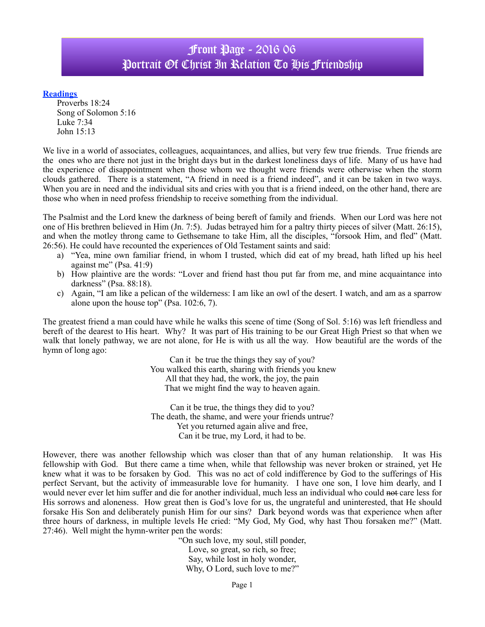## Front Page - 2016 06 Portrait Of Christ In Relation To His Friendship

## **Readings**

Proverbs 18:24 Song of Solomon 5:16 Luke 7:34 John 15:13

We live in a world of associates, colleagues, acquaintances, and allies, but very few true friends. True friends are the ones who are there not just in the bright days but in the darkest loneliness days of life. Many of us have had the experience of disappointment when those whom we thought were friends were otherwise when the storm clouds gathered. There is a statement, "A friend in need is a friend indeed", and it can be taken in two ways. When you are in need and the individual sits and cries with you that is a friend indeed, on the other hand, there are those who when in need profess friendship to receive something from the individual.

The Psalmist and the Lord knew the darkness of being bereft of family and friends. When our Lord was here not one of His brethren believed in Him (Jn. 7:5). Judas betrayed him for a paltry thirty pieces of silver (Matt. 26:15), and when the motley throng came to Gethsemane to take Him, all the disciples, "forsook Him, and fled" (Matt. 26:56). He could have recounted the experiences of Old Testament saints and said:

- a) "Yea, mine own familiar friend, in whom I trusted, which did eat of my bread, hath lifted up his heel against me" (Psa. 41:9)
- b) How plaintive are the words: "Lover and friend hast thou put far from me, and mine acquaintance into darkness" (Psa. 88:18).
- c) Again, "I am like a pelican of the wilderness: I am like an owl of the desert. I watch, and am as a sparrow alone upon the house top" (Psa. 102:6, 7).

The greatest friend a man could have while he walks this scene of time (Song of Sol. 5:16) was left friendless and bereft of the dearest to His heart. Why? It was part of His training to be our Great High Priest so that when we walk that lonely pathway, we are not alone, for He is with us all the way. How beautiful are the words of the hymn of long ago:

> Can it be true the things they say of you? You walked this earth, sharing with friends you knew All that they had, the work, the joy, the pain That we might find the way to heaven again.

Can it be true, the things they did to you? The death, the shame, and were your friends untrue? Yet you returned again alive and free, Can it be true, my Lord, it had to be.

However, there was another fellowship which was closer than that of any human relationship. It was His fellowship with God. But there came a time when, while that fellowship was never broken or strained, yet He knew what it was to be forsaken by God. This was no act of cold indifference by God to the sufferings of His perfect Servant, but the activity of immeasurable love for humanity. I have one son, I love him dearly, and I would never ever let him suffer and die for another individual, much less an individual who could not care less for His sorrows and aloneness. How great then is God's love for us, the ungrateful and uninterested, that He should forsake His Son and deliberately punish Him for our sins? Dark beyond words was that experience when after three hours of darkness, in multiple levels He cried: "My God, My God, why hast Thou forsaken me?" (Matt. 27:46). Well might the hymn-writer pen the words:

"On such love, my soul, still ponder, Love, so great, so rich, so free; Say, while lost in holy wonder, Why, O Lord, such love to me?"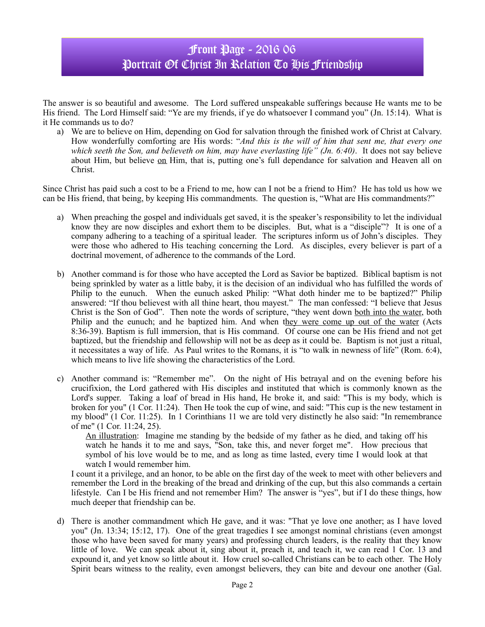## Front Page - 2016 06 Portrait Of Christ In Relation To His Friendship

The answer is so beautiful and awesome. The Lord suffered unspeakable sufferings because He wants me to be His friend. The Lord Himself said: "Ye are my friends, if ye do whatsoever I command you" (Jn. 15:14). What is it He commands us to do?

a) We are to believe on Him, depending on God for salvation through the finished work of Christ at Calvary. How wonderfully comforting are His words: "*And this is the will of him that sent me, that every one which seeth the Son, and believeth on him, may have everlasting life" (Jn. 6:40)*. It does not say believe about Him, but believe on Him, that is, putting one's full dependance for salvation and Heaven all on Christ.

Since Christ has paid such a cost to be a Friend to me, how can I not be a friend to Him? He has told us how we can be His friend, that being, by keeping His commandments. The question is, "What are His commandments?"

- a) When preaching the gospel and individuals get saved, it is the speaker's responsibility to let the individual know they are now disciples and exhort them to be disciples. But, what is a "disciple"? It is one of a company adhering to a teaching of a spiritual leader. The scriptures inform us of John's disciples. They were those who adhered to His teaching concerning the Lord. As disciples, every believer is part of a doctrinal movement, of adherence to the commands of the Lord.
- b) Another command is for those who have accepted the Lord as Savior be baptized. Biblical baptism is not being sprinkled by water as a little baby, it is the decision of an individual who has fulfilled the words of Philip to the eunuch. When the eunuch asked Philip: "What doth hinder me to be baptized?" Philip answered: "If thou believest with all thine heart, thou mayest." The man confessed: "I believe that Jesus Christ is the Son of God". Then note the words of scripture, "they went down both into the water, both Philip and the eunuch; and he baptized him. And when they were come up out of the water (Acts 8:36-39). Baptism is full immersion, that is His command. Of course one can be His friend and not get baptized, but the friendship and fellowship will not be as deep as it could be. Baptism is not just a ritual, it necessitates a way of life. As Paul writes to the Romans, it is "to walk in newness of life" (Rom. 6:4), which means to live life showing the characteristics of the Lord.
- c) Another command is: "Remember me". On the night of His betrayal and on the evening before his crucifixion, the Lord gathered with His disciples and instituted that which is commonly known as the Lord's supper. Taking a loaf of bread in His hand, He broke it, and said: "This is my body, which is broken for you" (1 Cor. 11:24). Then He took the cup of wine, and said: "This cup is the new testament in my blood" (1 Cor. 11:25). In 1 Corinthians 11 we are told very distinctly he also said: "In remembrance of me" (1 Cor. 11:24, 25).

An illustration: Imagine me standing by the bedside of my father as he died, and taking off his watch he hands it to me and says, "Son, take this, and never forget me". How precious that symbol of his love would be to me, and as long as time lasted, every time I would look at that watch I would remember him.

I count it a privilege, and an honor, to be able on the first day of the week to meet with other believers and remember the Lord in the breaking of the bread and drinking of the cup, but this also commands a certain lifestyle. Can I be His friend and not remember Him? The answer is "yes", but if I do these things, how much deeper that friendship can be.

d) There is another commandment which He gave, and it was: "That ye love one another; as I have loved you" (Jn. 13:34; 15:12, 17). One of the great tragedies I see amongst nominal christians (even amongst those who have been saved for many years) and professing church leaders, is the reality that they know little of love. We can speak about it, sing about it, preach it, and teach it, we can read 1 Cor. 13 and expound it, and yet know so little about it. How cruel so-called Christians can be to each other. The Holy Spirit bears witness to the reality, even amongst believers, they can bite and devour one another (Gal.